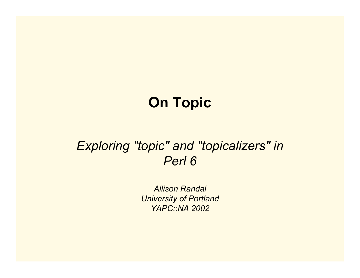# **On Topic**

## *Exploring "topic" and "topicalizers" in Perl 6*

*Allison Randal University of Portland YAPC::NA 2002*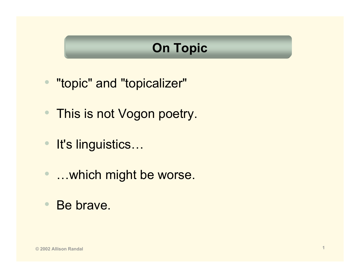## **On Topic**

- "topic" and "topicalizer"
- This is not Vogon poetry.
- It's linguistics…
- •…which might be worse.
- •Be brave.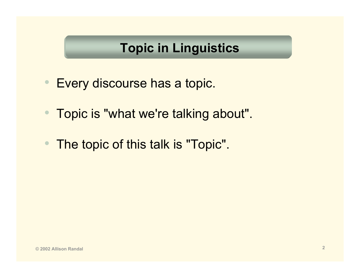## **Topic in Linguistics**

- Every discourse has a topic.
- $\bullet$ Topic is "what we're talking about".
- •The topic of this talk is "Topic".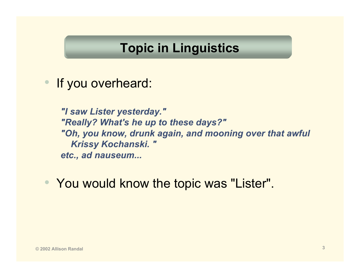### **Topic in Linguistics**

• If you overheard:

*"I saw Lister yesterday." "Really? What's he up to these days?" "Oh, you know, drunk again, and mooning over that awful Krissy Kochanski. " etc., ad nauseum...*

• You would know the topic was "Lister".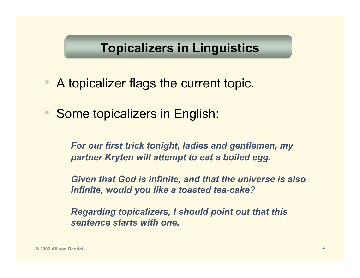## **Topicalizers in Linguistics**

- A topicalizer flags the current topic.
- $\bullet$ Some topicalizers in English:

*For our first trick tonight, ladies and gentlemen, my partner Kryten will attempt to eat a boiled egg.*

*Given that God is infinite, and that the universe is also infinite, would you like a toasted tea-cake?*

*Regarding topicalizers, I should point out that this sentence starts with one.*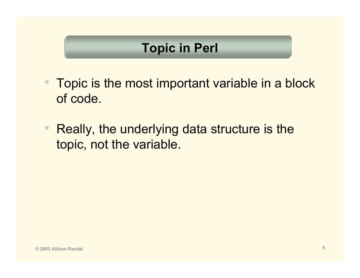- $\bullet$  Topic is the most important variable in a block of code.
- • Really, the underlying data structure is the topic, not the variable.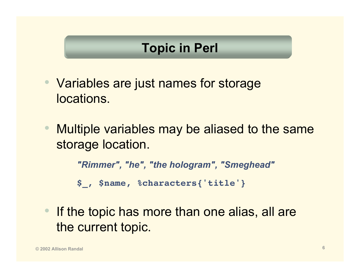- Variables are just names for storage locations.
- $\bullet$  Multiple variables may be aliased to the same storage location.

*"Rimmer", "he", "the hologram", "Smeghead"*

**\$\_, \$name, %characters{'title'}**

 $\bullet$  If the topic has more than one alias, all are the current topic.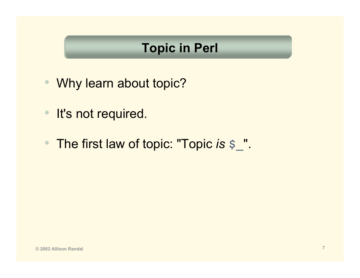- •Why learn about topic?
- •It's not required.
- The first law of topic: "Topic *is* \$\_".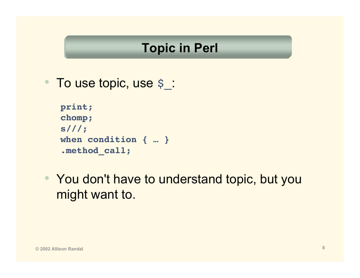• To use topic, use \$\_:

```
print;
chomp;
s///;
when condition { … }
.method_call;
```
• You don't have to understand topic, but you might want to.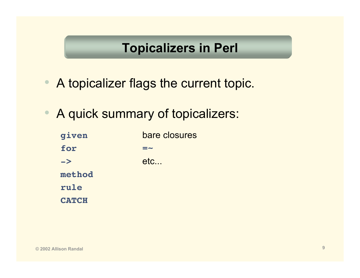## **Topicalizers in Perl**

- •A topicalizer flags the current topic.
- •A quick summary of topicalizers:

| given         | bare closures |
|---------------|---------------|
| for           | $=$ $\sim$    |
| $\rightarrow$ | etc           |
| method        |               |
| rule          |               |
| <b>CATCH</b>  |               |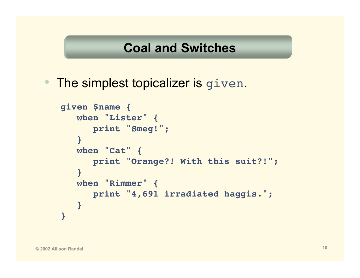### **Coal and Switches**

•The simplest topicalizer is given.

```
given $name {
   when "Lister" {
      print "Smeg!";
   }
   when "Cat" {
      print "Orange?! With this suit?!";
   }
   when "Rimmer" {
      print "4,691 irradiated haggis.";
   }
}
```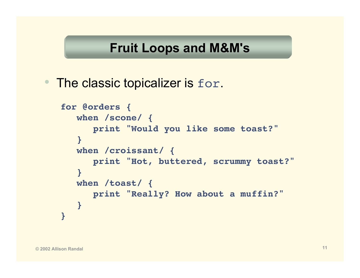## **Fruit Loops and M&M's**

•The classic topicalizer is for.

```
for @orders {
  when /scone/ {
      print "Would you like some toast?"
   }
  when /croissant/ {
      print "Hot, buttered, scrummy toast?"
   }
  when /toast/ {
      print "Really? How about a muffin?"
   }
}
```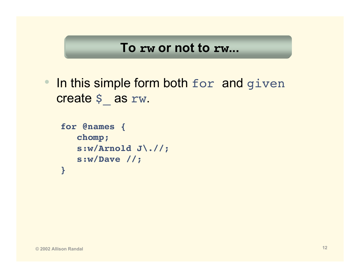#### **To rw or not to rw...**

• In this simple form both for and given create \$ as rw.

```
for @names {
   chomp;
   s:w/Arnold J\.//;
   s:w/Dave //;
}
```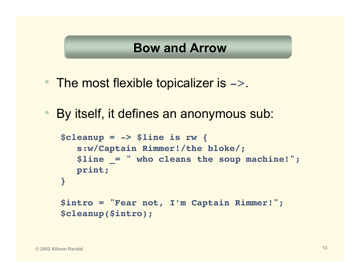- The most flexible topicalizer is ->.
- $\bullet$ By itself, it defines an anonymous sub:

```
$cleanup = -> $line is rw {
   s:w/Captain Rimmer!/the bloke/;
   $line _= " who cleans the soup machine!";
  print;
}
$intro = "Fear not, I'm Captain Rimmer!";
$cleanup($intro);
```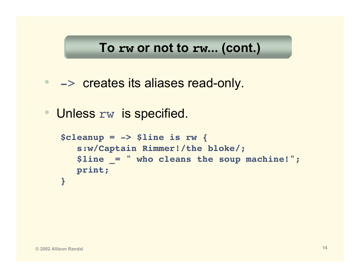## **To rw or not to rw... (cont.)**

- -> creates its aliases read-only.
- Unless rw is specified.

```
$cleanup = -> $line is rw {
   s:w/Captain Rimmer!/the bloke/;
   $line _= " who cleans the soup machine!";
  print;
}
```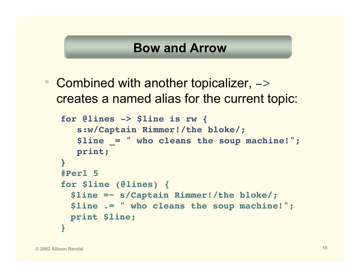• Combined with another topicalizer,  $\rightarrow$ creates a named alias for the current topic:

```
for @lines -> $line is rw {
   s:w/Captain Rimmer!/the bloke/;
   $line _= " who cleans the soup machine!";
  print;
}
#Perl 5
for $line (@lines) {
 $line =~ s/Captain Rimmer!/the bloke/;
 $line .= " who cleans the soup machine!";
 print $line;
}
```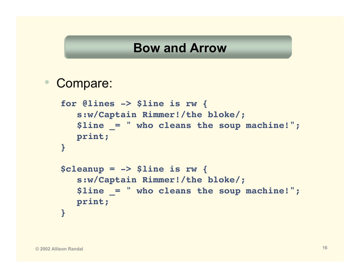#### $\bullet$ Compare:

```
for @lines -> $line is rw {
   s:w/Captain Rimmer!/the bloke/;
   $line _= " who cleans the soup machine!";
  print;
}
$cleanup = -> $line is rw {
   s:w/Captain Rimmer!/the bloke/;
   $line _= " who cleans the soup machine!";
  print;
}
```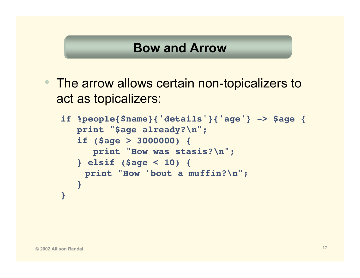• The arrow allows certain non-topicalizers to act as topicalizers:

```
if %people{$name}{'details'}{'age'} -> $age {
  print "$age already?\n";
   if ($age > 3000000) {
      print "How was stasis?\n";
   } elsif ($age < 10) {
    print "How 'bout a muffin?\n";
   }
}
```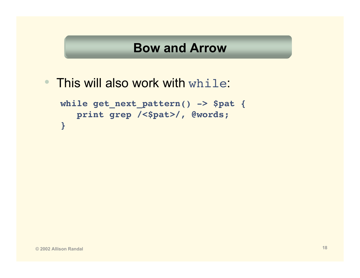• This will also work with while:

```
while get_next_pattern() -> $pat {
   print grep /<$pat>/, @words;
}
```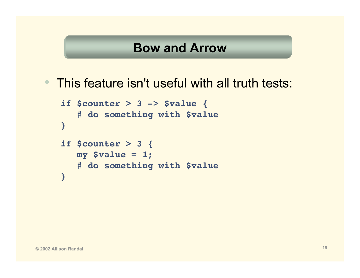• This feature isn't useful with all truth tests:

```
if $counter > 3 -> $value {
   # do something with $value
}
if $counter > 3 {
  my $value = 1;
   # do something with $value
}
```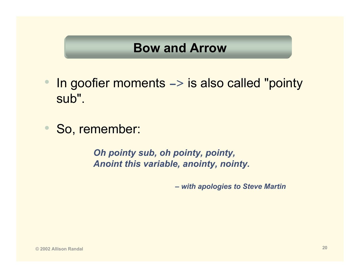- $\bullet$  In goofier moments -> is also called "pointy sub".
- $\bullet$ So, remember:

*Oh pointy sub, oh pointy, pointy, Anoint this variable, anointy, nointy.*

*– with apologies to Steve Martin*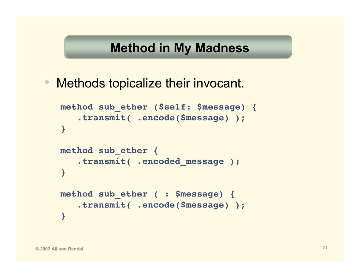## **Method in My Madness**

 $\bullet$ Methods topicalize their invocant.

```
method sub_ether ($self: $message) {
   .transmit( .encode($message) );
}
method sub_ether {
   .transmit( .encoded_message );
}
method sub_ether ( : $message) {
   .transmit( .encode($message) );
}
```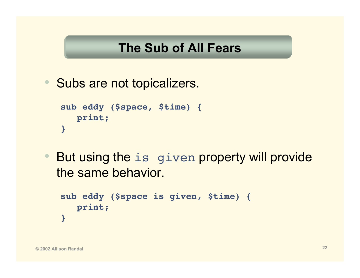## **The Sub of All Fears**

• Subs are not topicalizers.

```
sub eddy ($space, $time) {
   print;
}
```
• But using the is given property will provide the same behavior.

```
sub eddy ($space is given, $time) {
  print;
}
```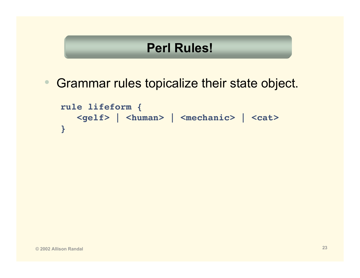## **Perl Rules!**

•Grammar rules topicalize their state object.

```
rule lifeform {
  <gelf> | <human> | <mechanic> | <cat>
}
```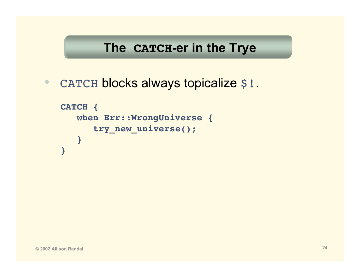## **The CATCH-er in the Trye**

•CATCH blocks always topicalize \$!.

```
CATCH {
   when Err::WrongUniverse {
      try_new_universe();
   }
}
```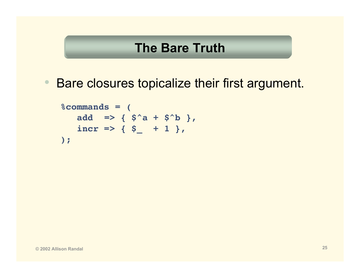#### **The Bare Truth**

•Bare closures topicalize their first argument.

```
%commands = (
    add => { $^a + $^b },
    \text{incr} \Rightarrow {\S_+ \S_- + 1},);
```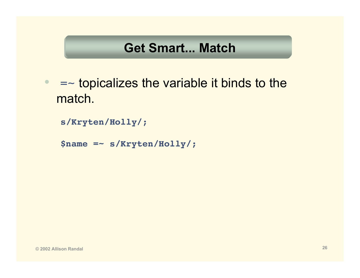## **Get Smart... Match**

- $\bullet$  =~ topicalizes the variable it binds to the match.
	- **s/Kryten/Holly/;**
	- **\$name =~ s/Kryten/Holly/;**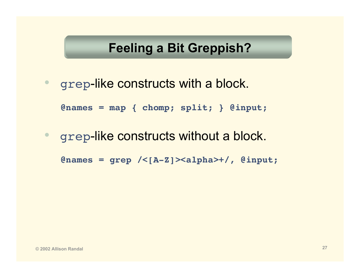## **Feeling a Bit Greppish?**

• grep-like constructs with a block.

**@names = map { chomp; split; } @input;**

 $\bullet$ grep-like constructs without a block.

**@names = grep /<[A-Z]><alpha>+/, @input;**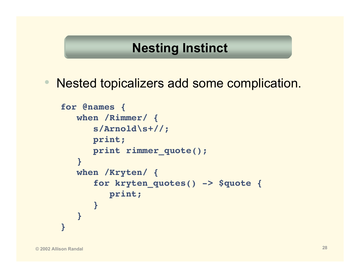• Nested topicalizers add some complication.

```
for @names {
  when /Rimmer/ {
      s/Arnold\s+//;
      print;
      print rimmer_quote();
   }
  when /Kryten/ {
      for kryten_quotes() -> $quote {
         print;
      }
   }
}
```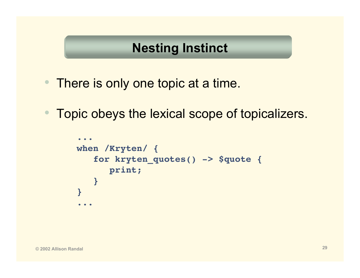- There is only one topic at a time.
- $\bullet$ Topic obeys the lexical scope of topicalizers.

```
...
when /Kryten/ {
   for kryten_quotes() -> $quote {
      print;
   }
}
...
```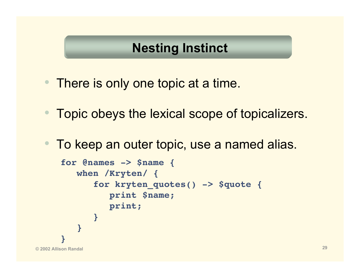- There is only one topic at a time.
- $\bullet$ Topic obeys the lexical scope of topicalizers.
- $\bullet$ To keep an outer topic, use a named alias.

```
© 2002 Allison Randal 29
   for @names -> $name {
      when /Kryten/ {
        for kryten_quotes() -> $quote {
           print $name;
           print;
         }
      }
    }
```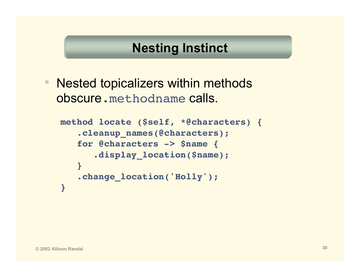$\bullet$  Nested topicalizers within methods obscure.methodname calls.

```
method locate ($self, *@characters) {
   .cleanup_names(@characters);
   for @characters -> $name {
      .display_location($name);
   }
   .change_location('Holly');
}
```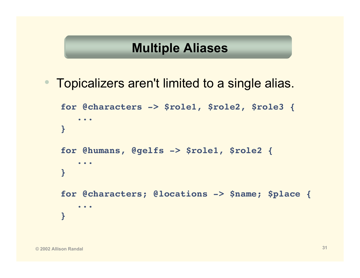## **Multiple Aliases**

 $\bullet$ Topicalizers aren't limited to a single alias.

```
for @characters -> $role1, $role2, $role3 {
   ...
}
for @humans, @gelfs -> $role1, $role2 {
   ...
}
for @characters; @locations -> $name; $place {
   ...
}
```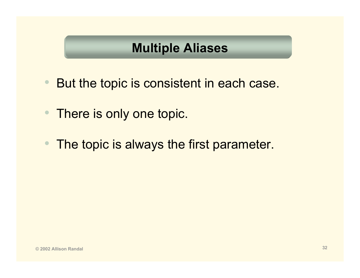## **Multiple Aliases**

- •But the topic is consistent in each case.
- •There is only one topic.
- •The topic is always the first parameter.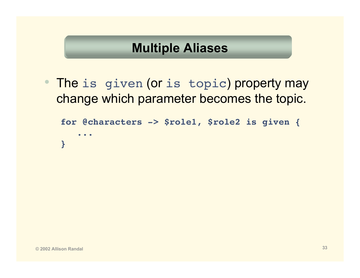## **Multiple Aliases**

•The is given (or is topic) property may change which parameter becomes the topic.

```
for @characters -> $role1, $role2 is given {
   ...
}
```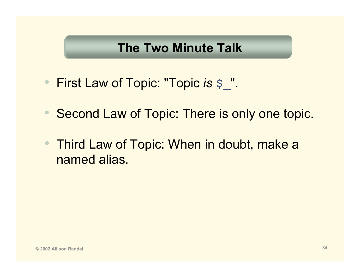## **The Two Minute Talk**

- First Law of Topic: "Topic *is* \$\_".
- •Second Law of Topic: There is only one topic.
- • Third Law of Topic: When in doubt, make a named alias.